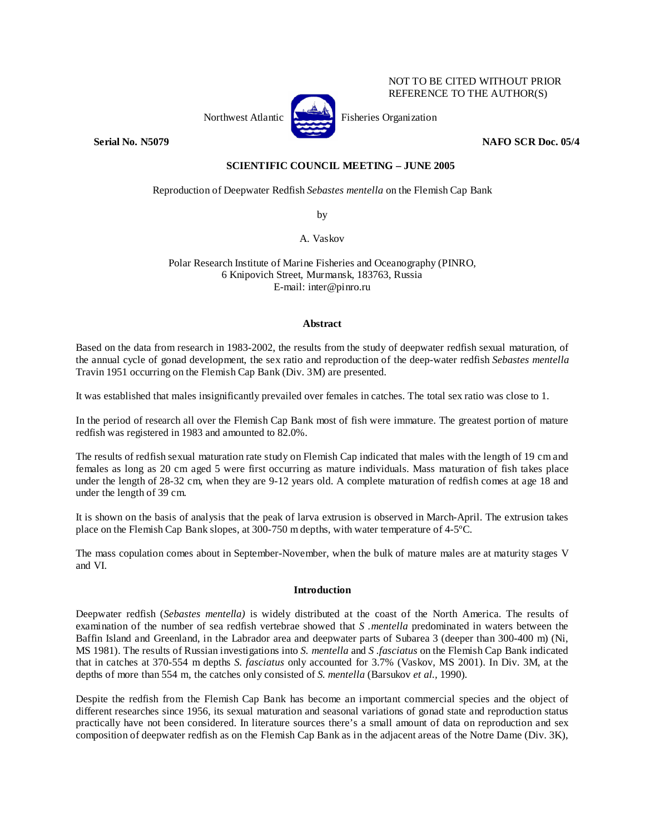

NOT TO BE CITED WITHOUT PRIOR REFERENCE TO THE AUTHOR(S)

# **Serial No. N5079 NAFO SCR Doc. 05/4 NAFO SCR Doc. 05/4**

## **SCIENTIFIC COUNCIL MEETING – JUNE 2005**

Reproduction of Deepwater Redfish *Sebastes mentella* on the Flemish Cap Bank

by

A. Vaskov

Polar Research Institute of Marine Fisheries and Oceanography (PINRO, 6 Knipovich Street, Murmansk, 183763, Russia E-mail: inter@pinro.ru

### **Abstract**

Based on the data from research in 1983-2002, the results from the study of deepwater redfish sexual maturation, of the annual cycle of gonad development, the sex ratio and reproduction of the deep-water redfish *Sebastes mentella*  Travin 1951 occurring on the Flemish Cap Bank (Div. 3M) are presented.

It was established that males insignificantly prevailed over females in catches. The total sex ratio was close to 1.

In the period of research all over the Flemish Cap Bank most of fish were immature. The greatest portion of mature redfish was registered in 1983 and amounted to 82.0%.

The results of redfish sexual maturation rate study on Flemish Cap indicated that males with the length of 19 cm and females as long as 20 cm aged 5 were first occurring as mature individuals. Mass maturation of fish takes place under the length of 28-32 cm, when they are 9-12 years old. A complete maturation of redfish comes at age 18 and under the length of 39 cm.

It is shown on the basis of analysis that the peak of larva extrusion is observed in March-April. The extrusion takes place on the Flemish Cap Bank slopes, at 300-750 m depths, with water temperature of 4-5ºC.

The mass copulation comes about in September-November, when the bulk of mature males are at maturity stages V and VI.

## **Introduction**

Deepwater redfish (*Sebastes mentella)* is widely distributed at the coast of the North America. The results of examination of the number of sea redfish vertebrae showed that *S .mentella* predominated in waters between the Baffin Island and Greenland, in the Labrador area and deepwater parts of Subarea 3 (deeper than 300-400 m) (Ni, MS 1981). The results of Russian investigations into *S. mentella* and *S .fasciatus* on the Flemish Cap Bank indicated that in catches at 370-554 m depths *S. fasciatus* only accounted for 3.7% (Vaskov, MS 2001). In Div. 3M, at the depths of more than 554 m, the catches only consisted of *S. mentella* (Barsukov *et al.,* 1990)*.*

Despite the redfish from the Flemish Cap Bank has become an important commercial species and the object of different researches since 1956, its sexual maturation and seasonal variations of gonad state and reproduction status practically have not been considered. In literature sources there's a small amount of data on reproduction and sex composition of deepwater redfish as on the Flemish Cap Bank as in the adjacent areas of the Notre Dame (Div. 3K),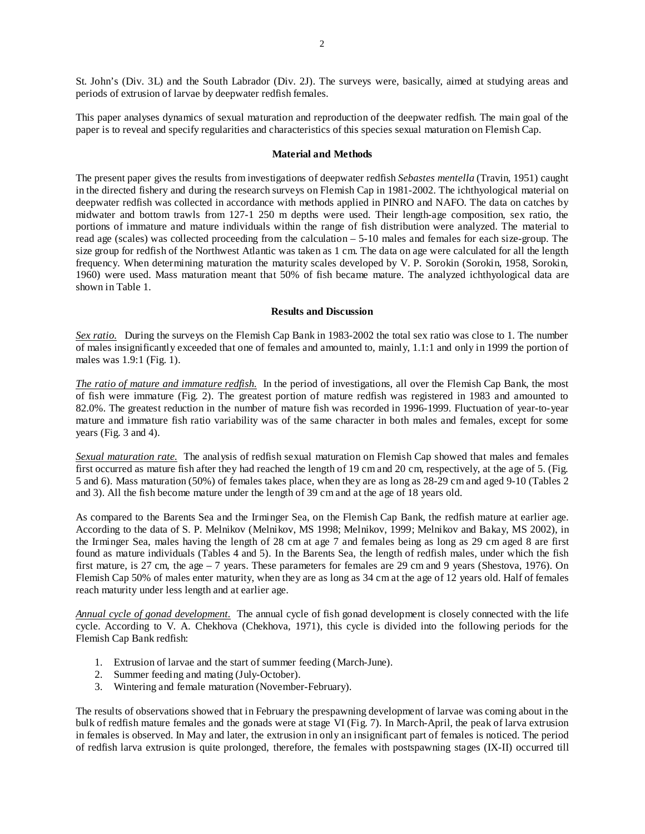St. John's (Div. 3L) and the South Labrador (Div. 2J). The surveys were, basically, aimed at studying areas and periods of extrusion of larvae by deepwater redfish females.

This paper analyses dynamics of sexual maturation and reproduction of the deepwater redfish. The main goal of the paper is to reveal and specify regularities and characteristics of this species sexual maturation on Flemish Cap.

#### **Material and Methods**

The present paper gives the results from investigations of deepwater redfish *Sebastes mentella* (Travin, 1951) caught in the directed fishery and during the research surveys on Flemish Cap in 1981-2002. The ichthyological material on deepwater redfish was collected in accordance with methods applied in PINRO and NAFO. The data on catches by midwater and bottom trawls from 127-1 250 m depths were used. Their length-age composition, sex ratio, the portions of immature and mature individuals within the range of fish distribution were analyzed. The material to read age (scales) was collected proceeding from the calculation – 5-10 males and females for each size-group. The size group for redfish of the Northwest Atlantic was taken as 1 cm. The data on age were calculated for all the length frequency. When determining maturation the maturity scales developed by V. P. Sorokin (Sorokin, 1958, Sorokin, 1960) were used. Mass maturation meant that 50% of fish became mature. The analyzed ichthyological data are shown in Table 1.

#### **Results and Discussion**

*Sex ratio.* During the surveys on the Flemish Cap Bank in 1983-2002 the total sex ratio was close to 1. The number of males insignificantly exceeded that one of females and amounted to, mainly, 1.1:1 and only in 1999 the portion of males was 1.9:1 (Fig. 1).

*The ratio of mature and immature redfish.* In the period of investigations, all over the Flemish Cap Bank, the most of fish were immature (Fig. 2). The greatest portion of mature redfish was registered in 1983 and amounted to 82.0%. The greatest reduction in the number of mature fish was recorded in 1996-1999. Fluctuation of year-to-year mature and immature fish ratio variability was of the same character in both males and females, except for some years (Fig. 3 and 4).

*Sexual maturation rate.* The analysis of redfish sexual maturation on Flemish Cap showed that males and females first occurred as mature fish after they had reached the length of 19 cm and 20 cm, respectively, at the age of 5. (Fig. 5 and 6). Mass maturation (50%) of females takes place, when they are as long as 28-29 cm and aged 9-10 (Tables 2 and 3). All the fish become mature under the length of 39 cm and at the age of 18 years old.

As compared to the Barents Sea and the Irminger Sea, on the Flemish Cap Bank, the redfish mature at earlier age. According to the data of S. P. Melnikov (Melnikov, MS 1998; Melnikov, 1999; Melnikov and Bakay, MS 2002), in the Irminger Sea, males having the length of 28 cm at age 7 and females being as long as 29 cm aged 8 are first found as mature individuals (Tables 4 and 5). In the Barents Sea, the length of redfish males, under which the fish first mature, is 27 cm, the age – 7 years. These parameters for females are 29 cm and 9 years (Shestova, 1976). On Flemish Cap 50% of males enter maturity, when they are as long as 34 cm at the age of 12 years old. Half of females reach maturity under less length and at earlier age.

*Annual cycle of gonad development.* The annual cycle of fish gonad development is closely connected with the life cycle. According to V. A. Chekhova (Chekhova, 1971), this cycle is divided into the following periods for the Flemish Cap Bank redfish:

- 1. Extrusion of larvae and the start of summer feeding (March-June).
- 2. Summer feeding and mating (July-October).
- 3. Wintering and female maturation (November-February).

The results of observations showed that in February the prespawning development of larvae was coming about in the bulk of redfish mature females and the gonads were at stage VI (Fig. 7). In March-April, the peak of larva extrusion in females is observed. In May and later, the extrusion in only an insignificant part of females is noticed. The period of redfish larva extrusion is quite prolonged, therefore, the females with postspawning stages (IX-II) occurred till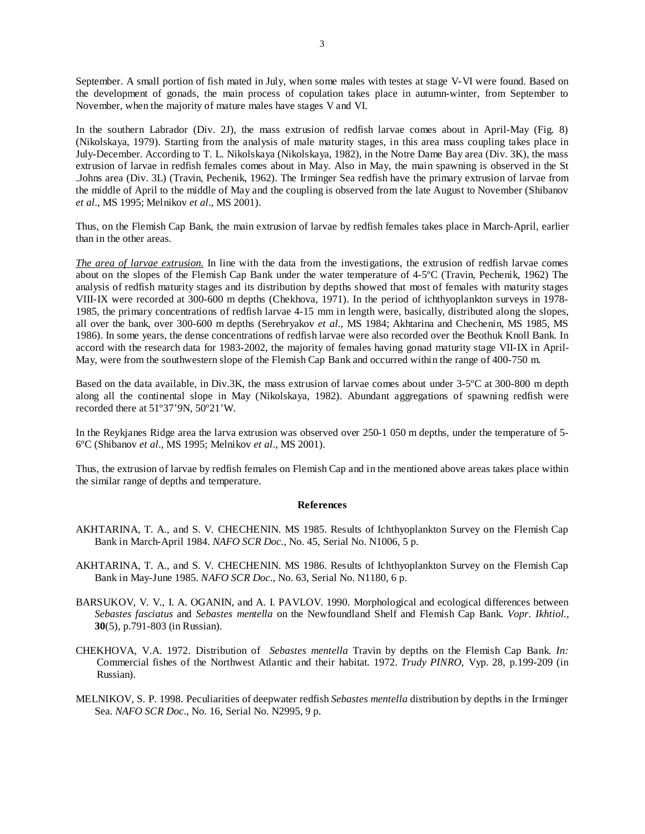September. A small portion of fish mated in July, when some males with testes at stage V-VI were found. Based on the development of gonads, the main process of copulation takes place in autumn-winter, from September to November, when the majority of mature males have stages V and VI.

In the southern Labrador (Div. 2J), the mass extrusion of redfish larvae comes about in April-May (Fig. 8) (Nikolskaya, 1979). Starting from the analysis of male maturity stages, in this area mass coupling takes place in July-December. According to T. L. Nikolskaya (Nikolskaya, 1982), in the Notre Dame Bay area (Div. 3K), the mass extrusion of larvae in redfish females comes about in May. Also in May, the main spawning is observed in the St .Johns area (Div. 3L) (Travin, Pechenik, 1962). The Irminger Sea redfish have the primary extrusion of larvae from the middle of April to the middle of May and the coupling is observed from the late August to November (Shibanov *et al*., MS 1995; Melnikov *et al*., MS 2001).

Thus, on the Flemish Cap Bank, the main extrusion of larvae by redfish females takes place in March-April, earlier than in the other areas.

*The area of larvae extrusion.* In line with the data from the investigations, the extrusion of redfish larvae comes about on the slopes of the Flemish Cap Bank under the water temperature of 4-5ºC (Travin, Pechenik, 1962) The analysis of redfish maturity stages and its distribution by depths showed that most of females with maturity stages VIII-IX were recorded at 300-600 m depths (Chekhova, 1971). In the period of ichthyoplankton surveys in 1978- 1985, the primary concentrations of redfish larvae 4-15 mm in length were, basically, distributed along the slopes, all over the bank, over 300-600 m depths (Serebryakov *et al*., MS 1984; Akhtarina and Chechenin, MS 1985, MS 1986). In some years, the dense concentrations of redfish larvae were also recorded over the Beothuk Knoll Bank. In accord with the research data for 1983-2002, the majority of females having gonad maturity stage VII-IX in April-May, were from the southwestern slope of the Flemish Cap Bank and occurred within the range of 400-750 m.

Based on the data available, in Div.3K, the mass extrusion of larvae comes about under 3-5ºC at 300-800 m depth along all the continental slope in May (Nikolskaya, 1982). Abundant aggregations of spawning redfish were recorded there at 51º37'9N, 50º21'W.

In the Reykjanes Ridge area the larva extrusion was observed over 250-1 050 m depths, under the temperature of 5- 6ºC (Shibanov *et al*., MS 1995; Melnikov *et al*., MS 2001).

Thus, the extrusion of larvae by redfish females on Flemish Cap and in the mentioned above areas takes place within the similar range of depths and temperature.

#### **References**

- AKHTARINA, T. A., and S. V. CHECHENIN. MS 1985. Results of Ichthyoplankton Survey on the Flemish Cap Bank in March-April 1984. *NAFO SCR Doc.,* No. 45, Serial No. N1006, 5 p.
- AKHTARINA, T. A., and S. V. CHECHENIN. MS 1986. Results of Ichthyoplankton Survey on the Flemish Cap Bank in May-June 1985. *NAFO SCR Doc*., No. 63, Serial No. N1180, 6 p.
- BARSUKOV, V. V., I. A. OGANIN, and A. I. PAVLOV. 1990. Morphological and ecological differences between *Sebastes fasciatus* and *Sebastes mentella* on the Newfoundland Shelf and Flemish Cap Bank. *Vopr. Ikhtiol.,*  **30**(5), p.791-803 (in Russian).
- CHEKHOVA, V.A. 1972. Distribution of *Sebastes mentella* Travin by depths on the Flemish Cap Bank. *In:*  Commercial fishes of the Northwest Atlantic and their habitat. 1972. *Trudy PINRO*, Vyp. 28, p.199-209 (in Russian).
- MELNIKOV, S. P. 1998. Peculiarities of deepwater redfish *Sebastes mentella* distribution by depths in the Irminger Sea. *NAFO SCR Doc*., No. 16, Serial No. N2995, 9 p.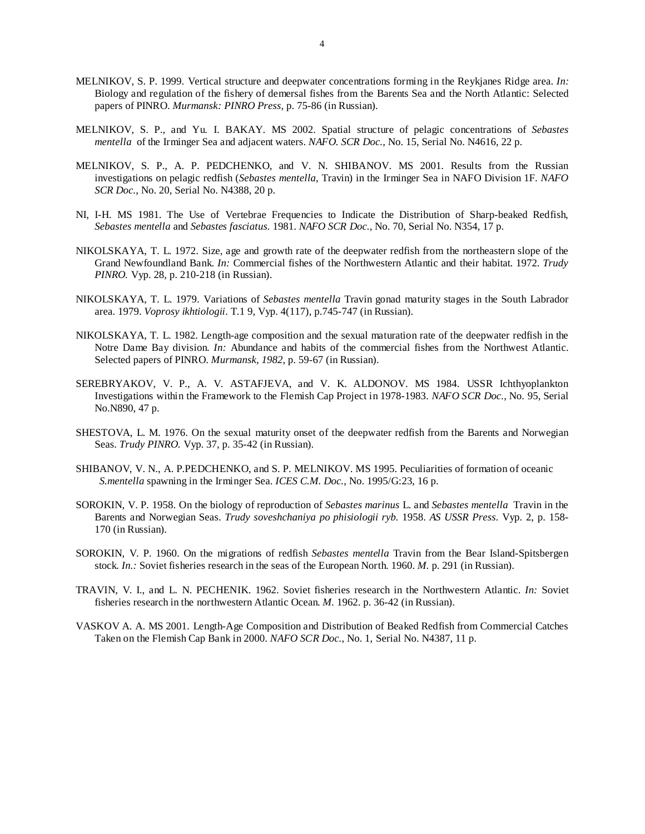- MELNIKOV, S. P. 1999. Vertical structure and deepwater concentrations forming in the Reykjanes Ridge area. *In:*  Biology and regulation of the fishery of demersal fishes from the Barents Sea and the North Atlantic: Selected papers of PINRO. *Murmansk: PINRO Press,* p. 75-86 (in Russian).
- MELNIKOV, S. P., and Yu. I. BAKAY. MS 2002. Spatial structure of pelagic concentrations of *Sebastes mentella* of the Irminger Sea and adjacent waters. *NAFO. SCR Doc.,* No. 15, Serial No. N4616, 22 p.
- MELNIKOV, S. P., A. P. PEDCHENKO, and V. N. SHIBANOV. MS 2001. Results from the Russian investigations on pelagic redfish (*Sebastes mentella*, Travin) in the Irminger Sea in NAFO Division 1F. *NAFO SCR Doc.*, No. 20, Serial No. N4388, 20 p.
- NI, I-H. MS 1981. The Use of Vertebrae Frequencies to Indicate the Distribution of Sharp-beaked Redfish, *Sebastes mentella* and *Sebastes fasciatus.* 1981. *NAFO SCR Doc.*, No. 70, Serial No. N354, 17 p.
- NIKOLSKAYA, T. L. 1972. Size, age and growth rate of the deepwater redfish from the northeastern slope of the Grand Newfoundland Bank. *In:* Commercial fishes of the Northwestern Atlantic and their habitat. 1972. *Trudy PINRO.* Vyp. 28*,* p. 210-218 (in Russian).
- NIKOLSKAYA, T. L. 1979. Variations of *Sebastes mentella* Travin gonad maturity stages in the South Labrador area. 1979. *Voprosy ikhtiologii*. T*.*1 9, Vyp. 4(117), p.745-747 (in Russian).
- NIKOLSKAYA, T. L. 1982. Length-age composition and the sexual maturation rate of the deepwater redfish in the Notre Dame Bay division. *In:* Abundance and habits of the commercial fishes from the Northwest Atlantic. Selected papers of PINRO. *Murmansk, 1982,* p. 59-67 (in Russian).
- SEREBRYAKOV, V. P., A. V. ASTAFJEVA, and V. K. ALDONOV. MS 1984. USSR Ichthyoplankton Investigations within the Framework to the Flemish Cap Project in 1978-1983. *NAFO SCR Doc.*, No. 95, Serial No.N890, 47 p.
- SHESTOVA, L. M. 1976. On the sexual maturity onset of the deepwater redfish from the Barents and Norwegian Seas. *Trudy PINRO.* Vyp. 37, p. 35-42 (in Russian).
- SHIBANOV, V. N., A. P.PEDCHENKO, and S. P. MELNIKOV. MS 1995. Peculiarities of formation of oceanic *S.mentella* spawning in the Irminger Sea. *ICES C.M. Doc.*, No. 1995/G:23, 16 p.
- SOROKIN, V. P. 1958. On the biology of reproduction of *Sebastes marinus* L. and *Sebastes mentella* Travin in the Barents and Norwegian Seas. *Trudy soveshchaniya po phisiologii ryb.* 1958. *AS USSR Press.* Vyp. 2, p. 158- 170 (in Russian).
- SOROKIN, V. P. 1960. On the migrations of redfish *Sebastes mentella* Travin from the Bear Island-Spitsbergen stock. *In.:* Soviet fisheries research in the seas of the European North. 1960. *M.* p. 291 (in Russian).
- TRAVIN, V. I., and L. N. PECHENIK. 1962. Soviet fisheries research in the Northwestern Atlantic. *In:* Soviet fisheries research in the northwestern Atlantic Ocean. *M.* 1962. p. 36-42 (in Russian).
- VASKOV A. A. MS 2001. Length-Age Composition and Distribution of Beaked Redfish from Commercial Catches Taken on the Flemish Cap Bank in 2000. *NAFO SCR Doc.*, No. 1, Serial No. N4387, 11 p.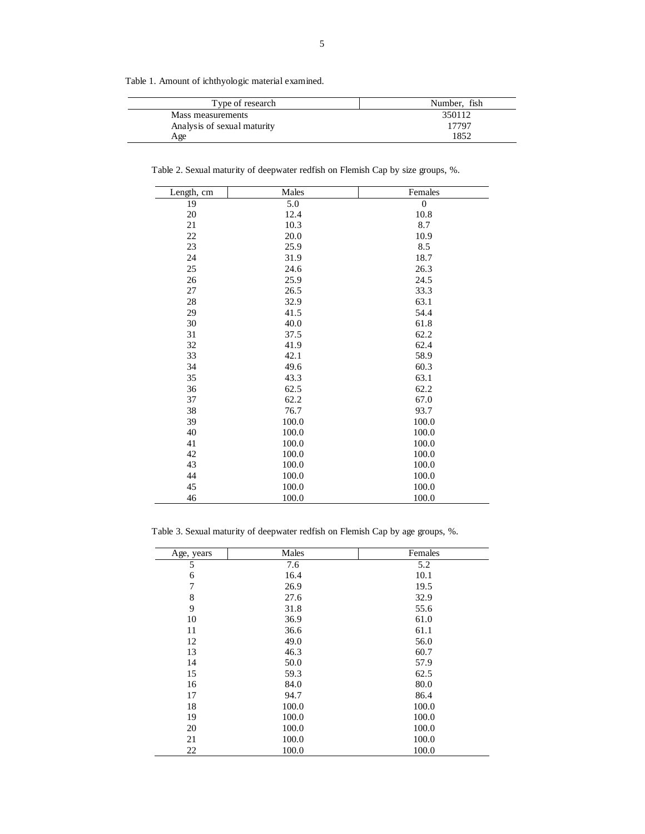Table 1. Amount of ichthyologic material examined.

| Type of research            | Number, fish |  |  |
|-----------------------------|--------------|--|--|
| Mass measurements           | 350112       |  |  |
| Analysis of sexual maturity | 17797        |  |  |
| Age                         | 1852         |  |  |

Table 2. Sexual maturity of deepwater redfish on Flemish Cap by size groups, %.

| Length, cm | Males | Females        |
|------------|-------|----------------|
| 19         | 5.0   | $\overline{0}$ |
| 20         | 12.4  | 10.8           |
| 21         | 10.3  | 8.7            |
| $22\,$     | 20.0  | 10.9           |
| 23         | 25.9  | 8.5            |
| 24         | 31.9  | 18.7           |
| 25         | 24.6  | 26.3           |
| 26         | 25.9  | 24.5           |
| 27         | 26.5  | 33.3           |
| 28         | 32.9  | 63.1           |
| 29         | 41.5  | 54.4           |
| 30         | 40.0  | 61.8           |
| 31         | 37.5  | 62.2           |
| 32         | 41.9  | 62.4           |
| 33         | 42.1  | 58.9           |
| 34         | 49.6  | 60.3           |
| 35         | 43.3  | 63.1           |
| 36         | 62.5  | 62.2           |
| 37         | 62.2  | 67.0           |
| 38         | 76.7  | 93.7           |
| 39         | 100.0 | 100.0          |
| 40         | 100.0 | 100.0          |
| 41         | 100.0 | 100.0          |
| 42         | 100.0 | 100.0          |
| 43         | 100.0 | 100.0          |
| 44         | 100.0 | 100.0          |
| 45         | 100.0 | 100.0          |
| 46         | 100.0 | 100.0          |

Table 3. Sexual maturity of deepwater redfish on Flemish Cap by age groups, %.

| Age, years | Males | Females |
|------------|-------|---------|
| 5          | 7.6   | 5.2     |
| 6          | 16.4  | 10.1    |
| 7          | 26.9  | 19.5    |
| 8          | 27.6  | 32.9    |
| 9          | 31.8  | 55.6    |
| 10         | 36.9  | 61.0    |
| 11         | 36.6  | 61.1    |
| 12         | 49.0  | 56.0    |
| 13         | 46.3  | 60.7    |
| 14         | 50.0  | 57.9    |
| 15         | 59.3  | 62.5    |
| 16         | 84.0  | 80.0    |
| 17         | 94.7  | 86.4    |
| 18         | 100.0 | 100.0   |
| 19         | 100.0 | 100.0   |
| 20         | 100.0 | 100.0   |
| 21         | 100.0 | 100.0   |
| 22         | 100.0 | 100.0   |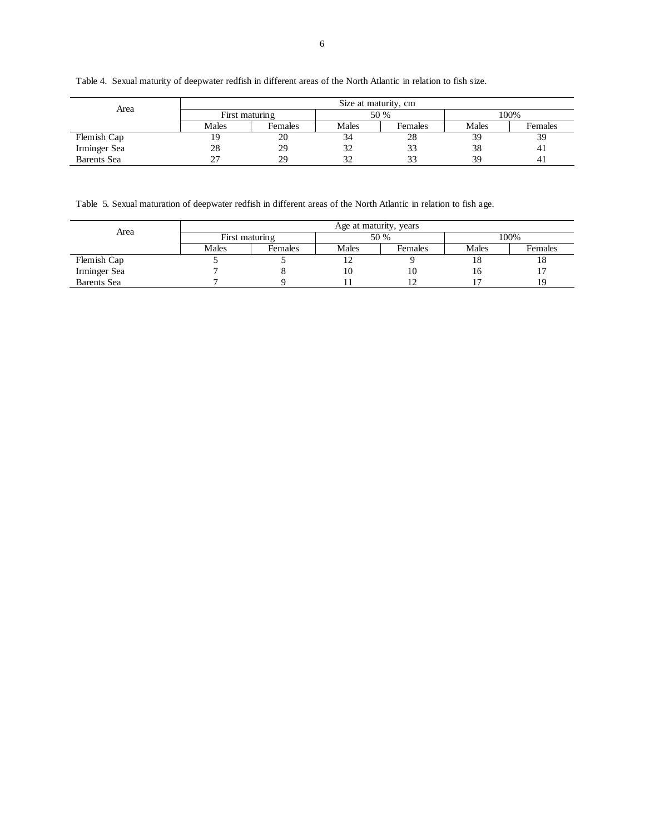Table 4. Sexual maturity of deepwater redfish in different areas of the North Atlantic in relation to fish size.

| Area               | Size at maturity, cm |         |       |         |       |         |
|--------------------|----------------------|---------|-------|---------|-------|---------|
|                    | First maturing       |         | 50 %  |         | 100%  |         |
|                    | Males                | Females | Males | Females | Males | Females |
| Flemish Cap        | ۱9                   | 20      |       | 28      | 39    | 39      |
| Irminger Sea       | 28                   | 29      | 32    | 33      | 38    | 41      |
| <b>Barents</b> Sea |                      | 29      | 32    | 33      | 39    | 41      |

Table 5. Sexual maturation of deepwater redfish in different areas of the North Atlantic in relation to fish age.

| Area         | Age at maturity, years |         |       |         |       |         |
|--------------|------------------------|---------|-------|---------|-------|---------|
|              | First maturing         |         | 50 %  |         | 100%  |         |
|              | Males                  | Females | Males | Females | Males | Females |
| Flemish Cap  |                        |         | ∸     |         | 18    | 18      |
| Irminger Sea |                        |         | 10    | 10      | 16    |         |
| Barents Sea  |                        |         |       |         |       | 19      |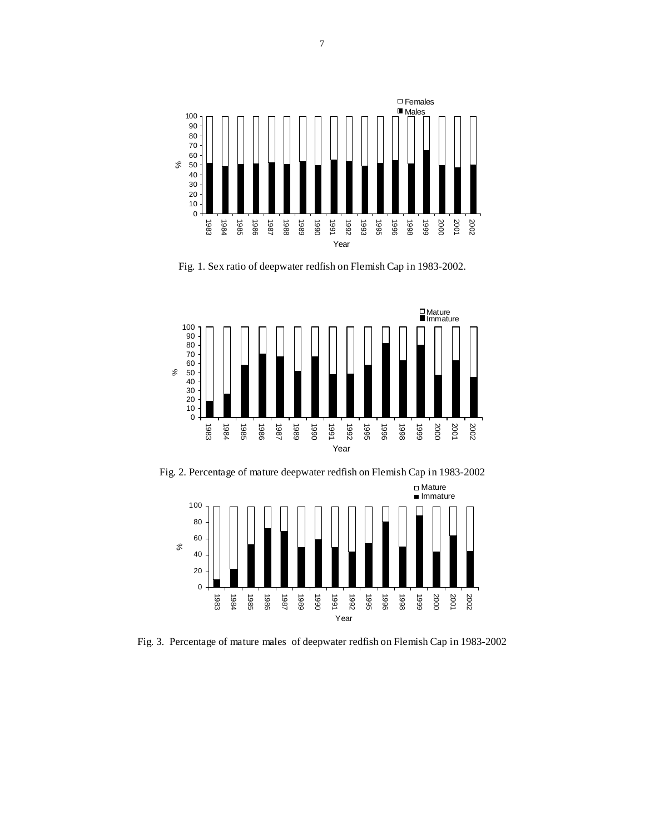

Fig. 1. Sex ratio of deepwater redfish on Flemish Cap in 1983-2002.



Fig. 2. Percentage of mature deepwater redfish on Flemish Cap in 1983-2002



Fig. 3. Percentage of mature males of deepwater redfish on Flemish Cap in 1983-2002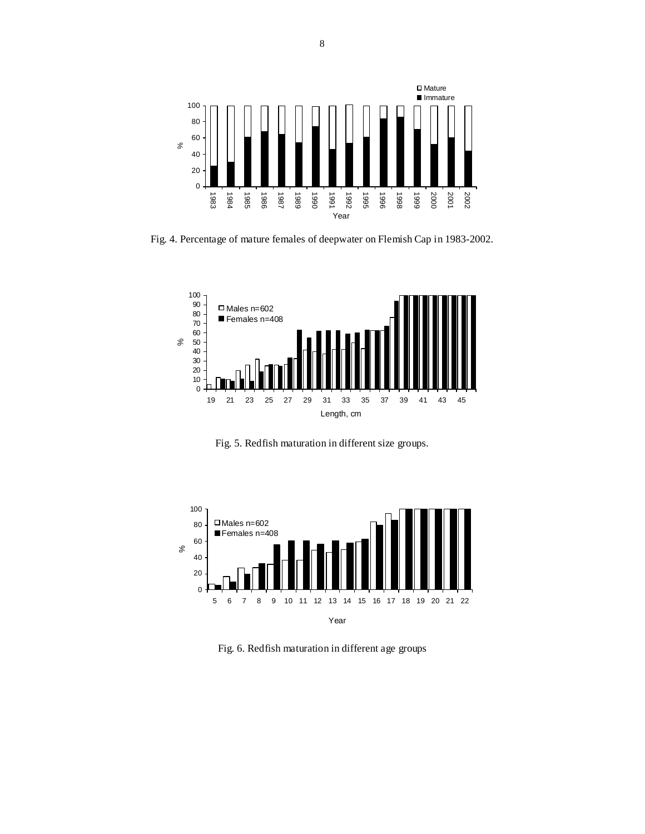

Fig. 4. Percentage of mature females of deepwater on Flemish Cap in 1983-2002.



Fig. 5. Redfish maturation in different size groups.



Fig. 6. Redfish maturation in different age groups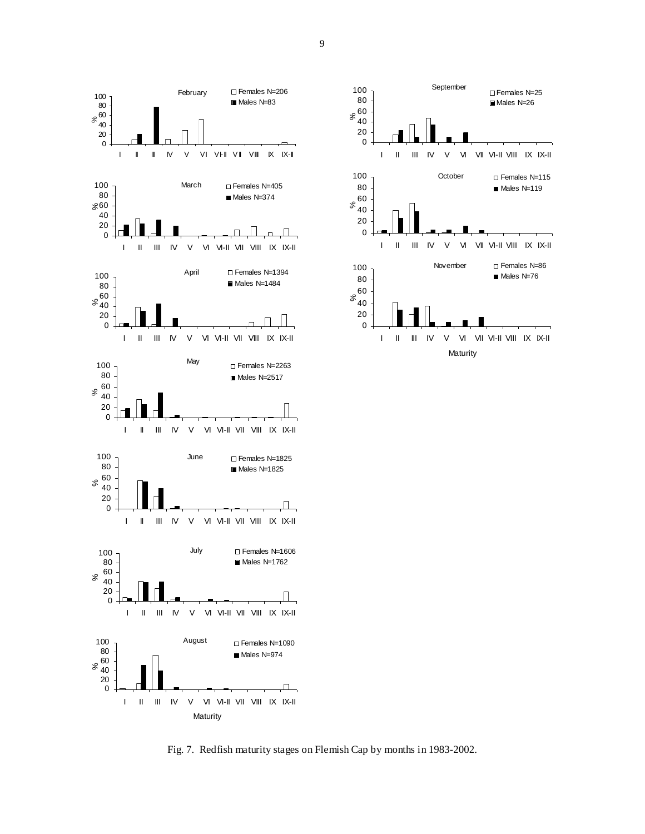



Fig. 7. Redfish maturity stages on Flemish Cap by months in 1983-2002.